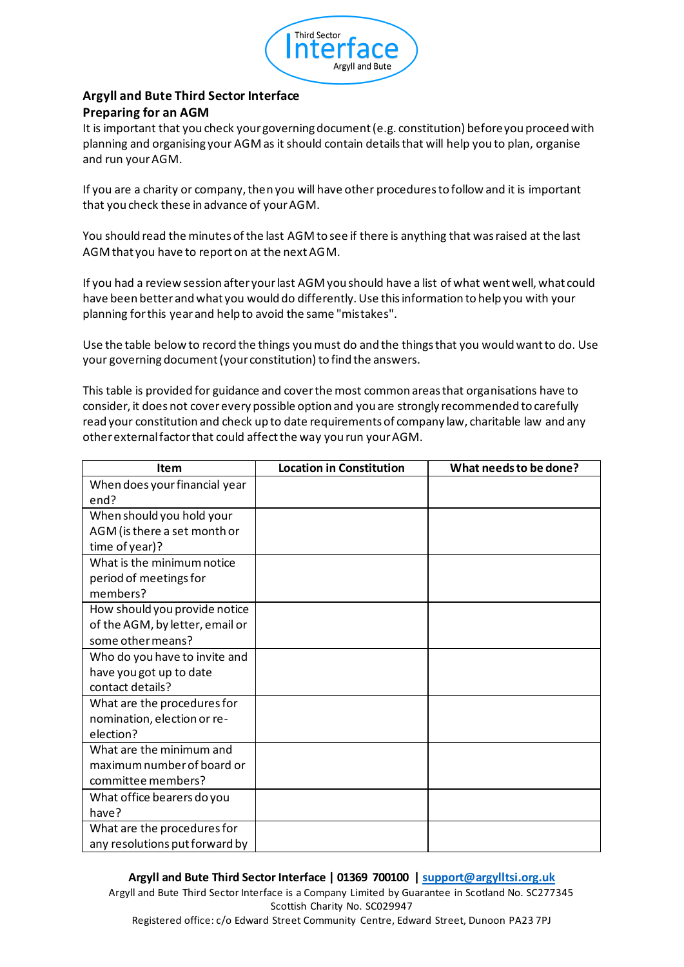

## **Argyll and Bute Third Sector Interface Preparing for an AGM**

It is important that you check your governing document (e.g. constitution) before you proceed with planning and organising your AGM as it should contain details that will help you to plan, organise and run your AGM.

If you are a charity or company, then you will have other procedures to follow and it is important that you check these in advance of your AGM.

You should read the minutes of the last AGM to see if there is anything that was raised at the last AGM that you have to report on at the next AGM.

If you had a review session after your last AGM you should have a list of what went well, what could have been better and what you would do differently. Use this information to help you with your planning for this year and help to avoid the same "mistakes".

Use the table below to record the things you must do and the things that you would want to do. Use your governing document (your constitution) to find the answers.

This table is provided for guidance and cover the most common areas that organisations have to consider, it does not cover every possible option and you are strongly recommended to carefully read your constitution and check up to date requirements of company law, charitable law and any other external factor that could affect the way you run your AGM.

| <b>Item</b>                     | <b>Location in Constitution</b> | What needs to be done? |
|---------------------------------|---------------------------------|------------------------|
| When does your financial year   |                                 |                        |
| end?                            |                                 |                        |
| When should you hold your       |                                 |                        |
| AGM (is there a set month or    |                                 |                        |
| time of year)?                  |                                 |                        |
| What is the minimum notice      |                                 |                        |
| period of meetings for          |                                 |                        |
| members?                        |                                 |                        |
| How should you provide notice   |                                 |                        |
| of the AGM, by letter, email or |                                 |                        |
| some other means?               |                                 |                        |
| Who do you have to invite and   |                                 |                        |
| have you got up to date         |                                 |                        |
| contact details?                |                                 |                        |
| What are the procedures for     |                                 |                        |
| nomination, election or re-     |                                 |                        |
| election?                       |                                 |                        |
| What are the minimum and        |                                 |                        |
| maximum number of board or      |                                 |                        |
| committee members?              |                                 |                        |
| What office bearers do you      |                                 |                        |
| have?                           |                                 |                        |
| What are the procedures for     |                                 |                        |
| any resolutions put forward by  |                                 |                        |

## **Argyll and Bute Third Sector Interface | 01369 700100 | support@argylltsi.org.uk**

Argyll and Bute Third Sector Interface is a Company Limited by Guarantee in Scotland No. SC277345 Scottish Charity No. SC029947 Registered office: c/o Edward Street Community Centre, Edward Street, Dunoon PA23 7PJ